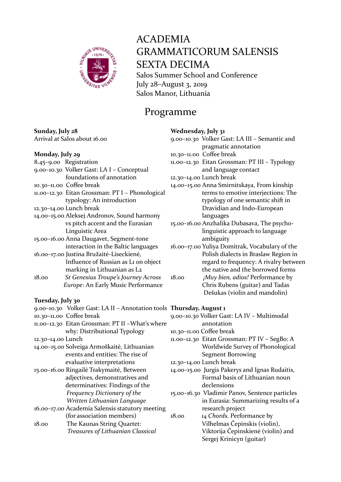

# ACADEMIA GRAMMATICORUM SALENSIS SEXTA DECIMA Salos Summer School and Conference

July 28–August 3, 2019 Salos Manor, Lithuania

# Programme

## **Sunday, July 28**

Arrival at Salos about 16.00

### **Monday, July 29**

|       | 8.45-9.00 Registration                           |
|-------|--------------------------------------------------|
|       | 9.00-10.30 Volker Gast: LA I - Conceptual        |
|       | foundations of annotation                        |
|       | 10.30-11.00 Coffee break                         |
|       | 11.00-12.30 Eitan Grossman: PT I - Phonological  |
|       | typology: An introduction                        |
|       | 12.30-14.00 Lunch break                          |
|       | 14.00-15.00 Aleksej Andronov, Sound harmony      |
|       | vs pitch accent and the Eurasian                 |
|       | Linguistic Area                                  |
|       | 15.00-16.00 Anna Daugavet, Segment-tone          |
|       | interaction in the Baltic languages              |
|       | 16.00-17.00 Justina Bružaitė-Liseckienė,         |
|       | Influence of Russian as L <sub>1</sub> on object |
|       | marking in Lithuanian as L2                      |
| 18.00 | St Genesius Troupe's Journey Across              |
|       | Europe: An Early Music Performance               |

# **Tuesday, July 30**

|                   | 9.00-10.30 Volker Gast: LA II - Annotation tools 7 |              |
|-------------------|----------------------------------------------------|--------------|
|                   | 10.30-11.00 Coffee break                           | Č            |
|                   | 11.00-12.30 Eitan Grossman: PT II -What's where    |              |
|                   | why: Distributional Typology                       | $\mathbf{I}$ |
| 12.30-14.00 Lunch |                                                    | $\mathbf{I}$ |
|                   | 14.00-15.00 Solveiga Armoškaitė, Lithuanian        |              |
|                   | events and entities: The rise of                   |              |
|                   | evaluative interpretations                         | $\mathbf{I}$ |
|                   | 15.00-16.00 Ringailė Trakymaitė, Between           | $\mathbf{I}$ |
|                   | adjectives, demonstratives and                     |              |
|                   | determinatives: Findings of the                    |              |
|                   | Frequency Dictionary of the                        | 1            |
|                   | Written Lithuanian Language                        |              |
|                   | 16.00-17.00 Academia Salensis statutory meeting    |              |
|                   | (for association members)                          | 1            |
| 18.00             | The Kaunas String Quartet:                         |              |
|                   | Treasures of Lithuanian Classical                  |              |
|                   |                                                    |              |

## **Wednesday, July 31**

| 9.00-10.30 Volker Gast: LA III - Semantic and |
|-----------------------------------------------|
| pragmatic annotation                          |
| 10.30-11.00 Coffee break                      |
| 11.00-12.30 Eitan Grossman: PT III - Typology |
| and language contact                          |
| $12.30 - 14.00$ Lunch break                   |
| 14.00-15.00 Anna Smirnitskaya, From kinship   |
| terms to emotive interjections: The           |
| typology of ano computie chift in             |

- typology of one semantic shift in Dravidian and Indo-European languages 15.00–16.00 Anzhalika Dubasava, The psycho-
- linguistic approach to language ambiguity
- 16.00–17.00 Yuliya Domitrak, Vocabulary of the Polish dialects in Braslaw Region in regard to frequency: A rivalry between the native and the borrowed forms 18.00 *¡Muy bien, adios!* Performance by
- Chris Rubens (guitar) and Tadas Dešukas (violin and mandolin)
- **Thursday, August 1** 9.00–10.30 Volker Gast: LA IV – Multimodal annotation
- 0.30–11.00 Coffee break
- 11.00–12.30 Eitan Grossman: PT IV SegBo: A Worldwide Survey of Phonological Segment Borrowing
- 12.30–14.00 Lunch break
- 14.00–15.00 Jurgis Pakerys and Ignas Rudaitis, Formal basis of Lithuanian noun declensions
- 15.00–16.30 Vladimir Panov, Sentence particles in Eurasia: Summarizing results of a research project

18.00 *14 Chords.* Performance by Vilhelmas Čepinskis (violin), Viktorija Čepinskienė (violin) and Sergej Krinicyn (guitar)